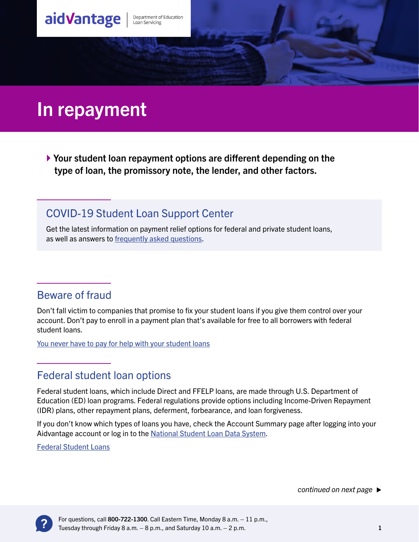

# In repayment

 Your student loan repayment options are different depending on the type of loan, the promissory note, the lender, and other factors.

## COVID-19 Student Loan Support Center

Get the latest information on payment relief options for federal and private student loans, as well as answers to [frequently asked questions](https://aidvantage.com/covid-19/).

### Beware of fraud

Don't fall victim to companies that promise to fix your student loans if you give them control over your account. Don't pay to enroll in a payment plan that's available for free to all borrowers with federal student loans.

[You never have to pay for help with your student loans](https://studentaid.gov/resources/scams)

## Federal student loan options

Federal student loans, which include Direct and FFELP loans, are made through U.S. Department of Education (ED) loan programs. Federal regulations provide options including Income-Driven Repayment (IDR) plans, other repayment plans, deferment, forbearance, and loan forgiveness.

If you don't know which types of loans you have, check the Account Summary page after logging into your Aidvantage account or log in to the [National Student Loan Data System](https://studentaid.gov/).

[Federal Student Loans](https://www.aidvantage.com/in-repayment/federal-student-loans)

*continued on next page*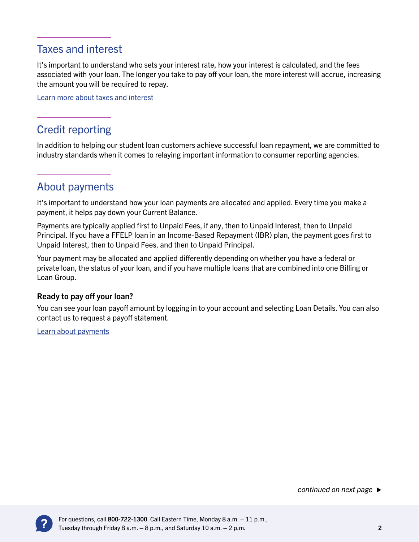# Taxes and interest

It's important to understand who sets your interest rate, how your interest is calculated, and the fees associated with your loan. The longer you take to pay off your loan, the more interest will accrue, increasing the amount you will be required to repay.

[Learn more](https://www.aidvantage.com/in-repayment/taxes-and-interest) about taxes and interest

# Credit reporting

In addition to helping our student loan customers achieve successful loan repayment, we are committed to industry standards when it comes to relaying important information to consumer reporting agencies.

## About payments

It's important to understand how your loan payments are allocated and applied. Every time you make a payment, it helps pay down your Current Balance.

Payments are typically applied first to Unpaid Fees, if any, then to Unpaid Interest, then to Unpaid Principal. If you have a FFELP loan in an Income-Based Repayment (IBR) plan, the payment goes first to Unpaid Interest, then to Unpaid Fees, and then to Unpaid Principal.

Your payment may be allocated and applied differently depending on whether you have a federal or private loan, the status of your loan, and if you have multiple loans that are combined into one Billing or Loan Group.

#### Ready to pay off your loan?

You can see your loan payoff amount by logging in to your account and selecting Loan Details. You can also contact us to request a payoff statement.

[Learn about payments](https://www.aidvantage.com/in-repayment/about-payments)

*continued on next page*